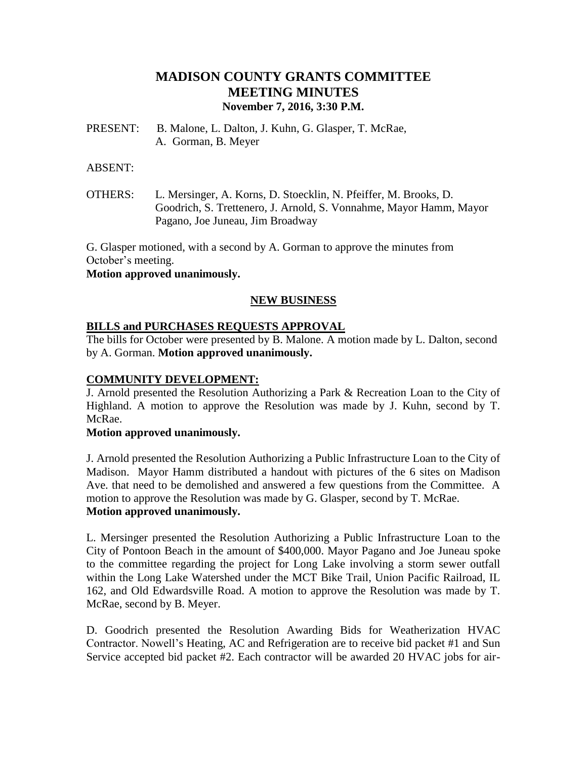# **MADISON COUNTY GRANTS COMMITTEE MEETING MINUTES November 7, 2016, 3:30 P.M.**

PRESENT: B. Malone, L. Dalton, J. Kuhn, G. Glasper, T. McRae, A. Gorman, B. Meyer

#### ABSENT:

OTHERS: L. Mersinger, A. Korns, D. Stoecklin, N. Pfeiffer, M. Brooks, D. Goodrich, S. Trettenero, J. Arnold, S. Vonnahme, Mayor Hamm, Mayor Pagano, Joe Juneau, Jim Broadway

G. Glasper motioned, with a second by A. Gorman to approve the minutes from October's meeting.

### **Motion approved unanimously.**

# **NEW BUSINESS**

# **BILLS and PURCHASES REQUESTS APPROVAL**

The bills for October were presented by B. Malone. A motion made by L. Dalton, second by A. Gorman. **Motion approved unanimously.**

### **COMMUNITY DEVELOPMENT:**

J. Arnold presented the Resolution Authorizing a Park & Recreation Loan to the City of Highland. A motion to approve the Resolution was made by J. Kuhn, second by T. McRae.

#### **Motion approved unanimously.**

J. Arnold presented the Resolution Authorizing a Public Infrastructure Loan to the City of Madison. Mayor Hamm distributed a handout with pictures of the 6 sites on Madison Ave. that need to be demolished and answered a few questions from the Committee. A motion to approve the Resolution was made by G. Glasper, second by T. McRae. **Motion approved unanimously.**

L. Mersinger presented the Resolution Authorizing a Public Infrastructure Loan to the City of Pontoon Beach in the amount of \$400,000. Mayor Pagano and Joe Juneau spoke to the committee regarding the project for Long Lake involving a storm sewer outfall within the Long Lake Watershed under the MCT Bike Trail, Union Pacific Railroad, IL 162, and Old Edwardsville Road. A motion to approve the Resolution was made by T. McRae, second by B. Meyer.

D. Goodrich presented the Resolution Awarding Bids for Weatherization HVAC Contractor. Nowell's Heating, AC and Refrigeration are to receive bid packet #1 and Sun Service accepted bid packet #2. Each contractor will be awarded 20 HVAC jobs for air-